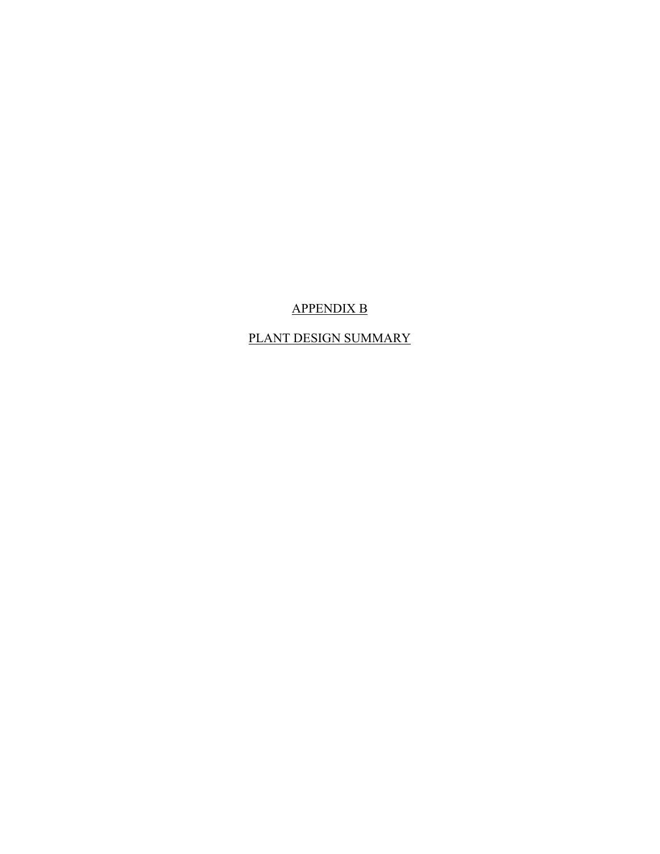# APPENDIX B

# PLANT DESIGN SUMMARY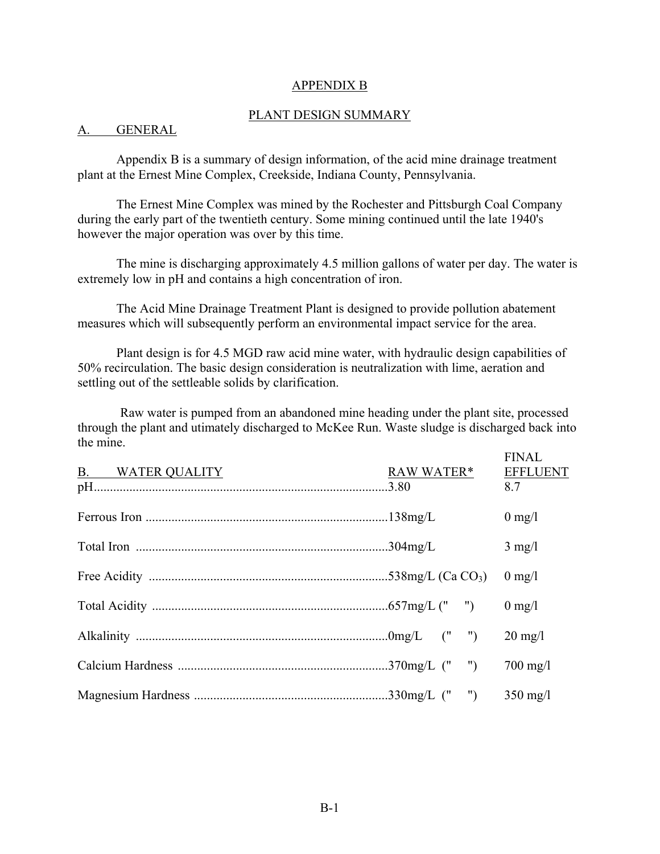#### APPENDIX B

#### PLANT DESIGN SUMMARY

#### A. GENERAL

Appendix B is a summary of design information, of the acid mine drainage treatment plant at the Ernest Mine Complex, Creekside, Indiana County, Pennsylvania.

The Ernest Mine Complex was mined by the Rochester and Pittsburgh Coal Company during the early part of the twentieth century. Some mining continued until the late 1940's however the major operation was over by this time.

The mine is discharging approximately 4.5 million gallons of water per day. The water is extremely low in pH and contains a high concentration of iron.

The Acid Mine Drainage Treatment Plant is designed to provide pollution abatement measures which will subsequently perform an environmental impact service for the area.

Plant design is for 4.5 MGD raw acid mine water, with hydraulic design capabilities of 50% recirculation. The basic design consideration is neutralization with lime, aeration and settling out of the settleable solids by clarification.

Raw water is pumped from an abandoned mine heading under the plant site, processed through the plant and utimately discharged to McKee Run. Waste sludge is discharged back into the mine. **FINIAT** 

| <b>B.</b> WATER QUALITY | RAW WATER* | <b>FINAL</b><br><b>EFFLUENT</b><br>8.7 |
|-------------------------|------------|----------------------------------------|
|                         |            | $0 \text{ mg/l}$                       |
|                         |            | $3 \text{ mg/l}$                       |
|                         |            | $0 \text{ mg}/1$                       |
|                         |            | $0 \text{ mg}/1$                       |
|                         |            | $20 \text{ mg}/l$                      |
|                         |            | $700 \,\mathrm{mg}/l$                  |
|                         |            | $350 \text{ mg/l}$                     |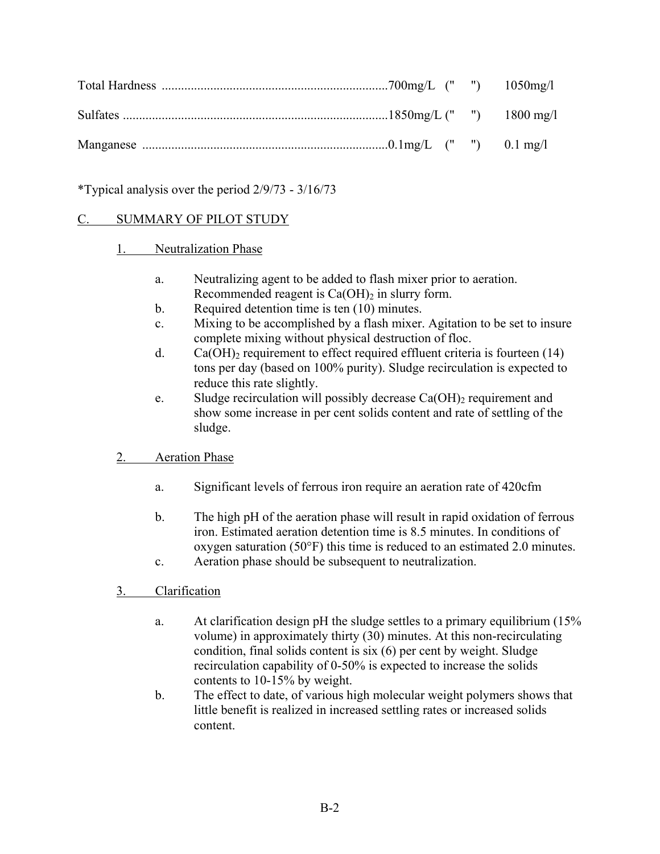\*Typical analysis over the period 2/9/73 - 3/16/73

# C. SUMMARY OF PILOT STUDY

## 1. Neutralization Phase

- a. Neutralizing agent to be added to flash mixer prior to aeration. Recommended reagent is  $Ca(OH)_2$  in slurry form.
- b. Required detention time is ten (10) minutes.
- c. Mixing to be accomplished by a flash mixer. Agitation to be set to insure complete mixing without physical destruction of floc.
- d. Ca(OH)<sub>2</sub> requirement to effect required effluent criteria is fourteen  $(14)$ tons per day (based on 100% purity). Sludge recirculation is expected to reduce this rate slightly.
- e. Sludge recirculation will possibly decrease  $Ca(OH)$ <sub>2</sub> requirement and show some increase in per cent solids content and rate of settling of the sludge.
- 2. Aeration Phase
	- a. Significant levels of ferrous iron require an aeration rate of 420cfm
	- b. The high pH of the aeration phase will result in rapid oxidation of ferrous iron. Estimated aeration detention time is 8.5 minutes. In conditions of oxygen saturation (50°F) this time is reduced to an estimated 2.0 minutes.
	- c. Aeration phase should be subsequent to neutralization.
- 3. Clarification
	- a. At clarification design pH the sludge settles to a primary equilibrium (15% volume) in approximately thirty (30) minutes. At this non-recirculating condition, final solids content is six (6) per cent by weight. Sludge recirculation capability of 0-50% is expected to increase the solids contents to 10-15% by weight.
	- b. The effect to date, of various high molecular weight polymers shows that little benefit is realized in increased settling rates or increased solids content.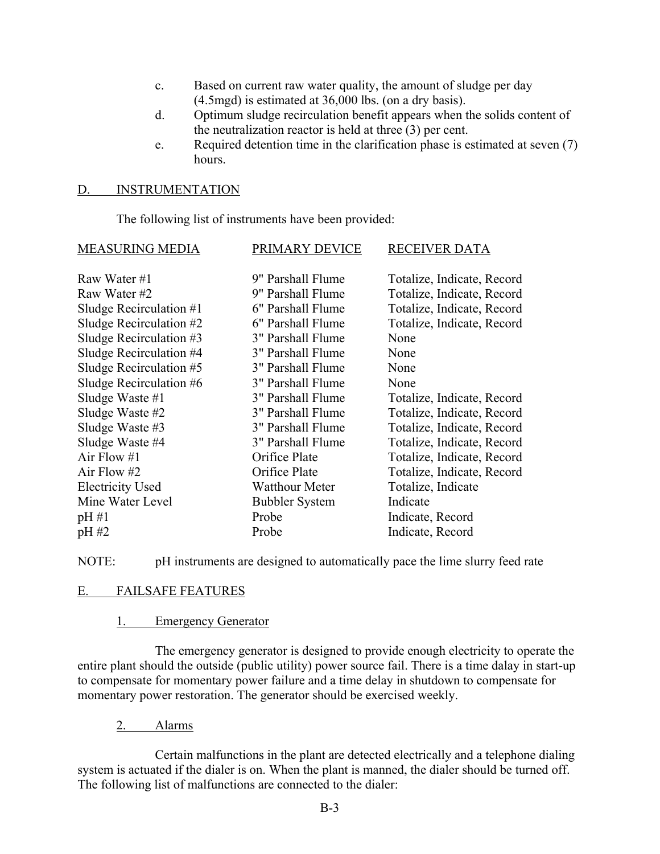- c. Based on current raw water quality, the amount of sludge per day (4.5mgd) is estimated at 36,000 lbs. (on a dry basis).
- d. Optimum sludge recirculation benefit appears when the solids content of the neutralization reactor is held at three (3) per cent.
- e. Required detention time in the clarification phase is estimated at seven (7) hours.

### D. INSTRUMENTATION

The following list of instruments have been provided:

| <b>MEASURING MEDIA</b>    | PRIMARY DEVICE        | <b>RECEIVER DATA</b>       |
|---------------------------|-----------------------|----------------------------|
| Raw Water #1              | 9" Parshall Flume     | Totalize, Indicate, Record |
| Raw Water #2              | 9" Parshall Flume     | Totalize, Indicate, Record |
| Sludge Recirculation $#1$ | 6" Parshall Flume     | Totalize, Indicate, Record |
| Sludge Recirculation $#2$ | 6" Parshall Flume     | Totalize, Indicate, Record |
| Sludge Recirculation #3   | 3" Parshall Flume     | None                       |
| Sludge Recirculation #4   | 3" Parshall Flume     | None                       |
| Sludge Recirculation #5   | 3" Parshall Flume     | None                       |
| Sludge Recirculation #6   | 3" Parshall Flume     | None                       |
| Sludge Waste #1           | 3" Parshall Flume     | Totalize, Indicate, Record |
| Sludge Waste #2           | 3" Parshall Flume     | Totalize, Indicate, Record |
| Sludge Waste #3           | 3" Parshall Flume     | Totalize, Indicate, Record |
| Sludge Waste #4           | 3" Parshall Flume     | Totalize, Indicate, Record |
| Air Flow #1               | Orifice Plate         | Totalize, Indicate, Record |
| Air Flow #2               | Orifice Plate         | Totalize, Indicate, Record |
| <b>Electricity Used</b>   | <b>Watthour Meter</b> | Totalize, Indicate         |
| Mine Water Level          | <b>Bubbler System</b> | Indicate                   |
| pH #1                     | Probe                 | Indicate, Record           |
| pH #2                     | Probe                 | Indicate, Record           |
|                           |                       |                            |

NOTE: pH instruments are designed to automatically pace the lime slurry feed rate

### E. FAILSAFE FEATURES

### 1. Emergency Generator

The emergency generator is designed to provide enough electricity to operate the entire plant should the outside (public utility) power source fail. There is a time dalay in start-up to compensate for momentary power failure and a time delay in shutdown to compensate for momentary power restoration. The generator should be exercised weekly.

2. Alarms

Certain malfunctions in the plant are detected electrically and a telephone dialing system is actuated if the dialer is on. When the plant is manned, the dialer should be turned off. The following list of malfunctions are connected to the dialer: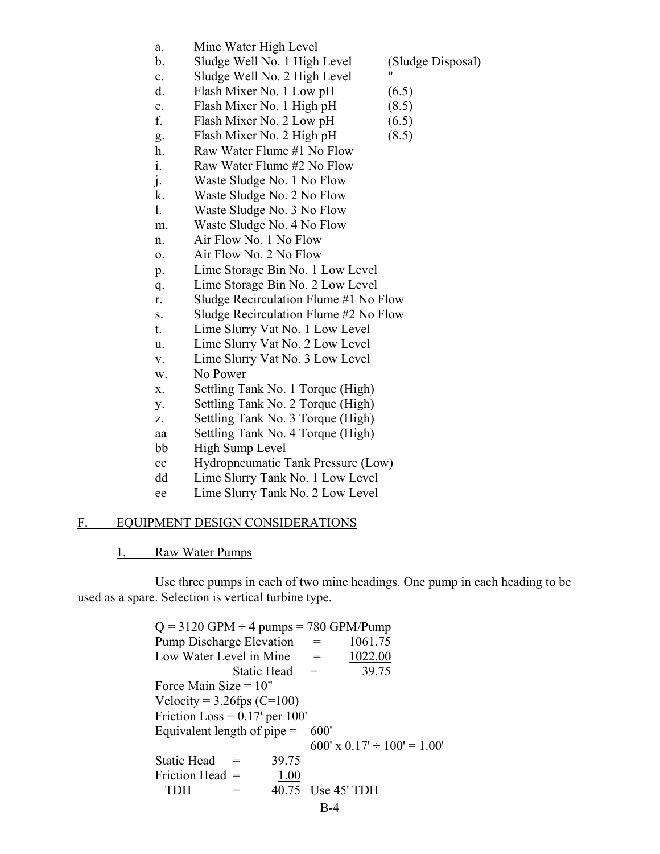- a. Mine Water High Level
- b. Sludge Well No. 1 High Level (Sludge Disposal)
- c. Sludge Well No. 2 High Level
- d. Flash Mixer No. 1 Low pH (6.5)
- e. Flash Mixer No. 1 High pH (8.5)
- f. Flash Mixer No. 2 Low pH  $(6.5)$
- g. Flash Mixer No. 2 High pH (8.5)
- h. Raw Water Flume #1 No Flow
- i. Raw Water Flume #2 No Flow
- j. Waste Sludge No. 1 No Flow
- k. Waste Sludge No. 2 No Flow
- l. Waste Sludge No. 3 No Flow
- m. Waste Sludge No. 4 No Flow
- n. Air Flow No. 1 No Flow
- o. Air Flow No. 2 No Flow
- p. Lime Storage Bin No. 1 Low Level
- q. Lime Storage Bin No. 2 Low Level
- r. Sludge Recirculation Flume #1 No Flow
- s. Sludge Recirculation Flume #2 No Flow
- t. Lime Slurry Vat No. 1 Low Level
- u. Lime Slurry Vat No. 2 Low Level
- v. Lime Slurry Vat No. 3 Low Level
- w. No Power
- x. Settling Tank No. 1 Torque (High)
- y. Settling Tank No. 2 Torque (High)
- z. Settling Tank No. 3 Torque (High)
- aa Settling Tank No. 4 Torque (High)
- bb High Sump Level
- cc Hydropneumatic Tank Pressure (Low)
- dd Lime Slurry Tank No. 1 Low Level
- ee Lime Slurry Tank No. 2 Low Level

### F. EQUIPMENT DESIGN CONSIDERATIONS

1. Raw Water Pumps

Use three pumps in each of two mine headings. One pump in each heading to be used as a spare. Selection is vertical turbine type.

| $Q = 3120$ GPM $\div$ 4 pumps = 780 GPM/Pump |                    |       |                   |                                  |  |
|----------------------------------------------|--------------------|-------|-------------------|----------------------------------|--|
| <b>Pump Discharge Elevation</b>              |                    |       | $=$               | 1061.75                          |  |
| Low Water Level in Mine                      |                    |       | $=$               | 1022.00                          |  |
|                                              | <b>Static Head</b> |       | =                 | 39.75                            |  |
| Force Main Size $= 10"$                      |                    |       |                   |                                  |  |
| Velocity = $3.26$ fps (C=100)                |                    |       |                   |                                  |  |
| Friction Loss = $0.17$ per 100'              |                    |       |                   |                                  |  |
| Equivalent length of pipe $=$                |                    |       | 600'              |                                  |  |
|                                              |                    |       |                   | 600' x $0.17' \div 100' = 1.00'$ |  |
| Static Head                                  |                    | 39.75 |                   |                                  |  |
| Friction Head $=$                            |                    | 1.00  |                   |                                  |  |
| TDH                                          |                    |       | 40.75 Use 45' TDH |                                  |  |
|                                              |                    |       | RЛ                |                                  |  |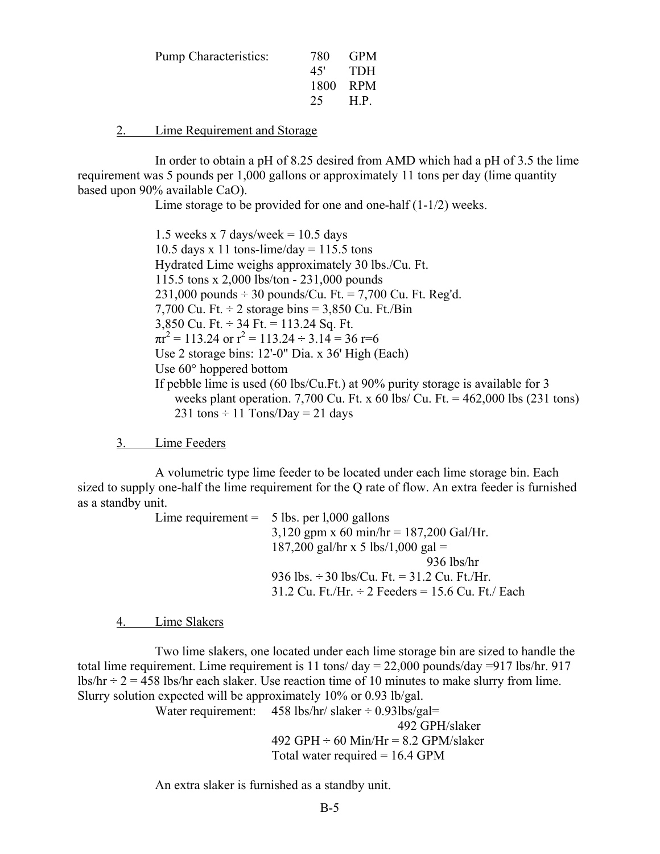| <b>Pump Characteristics:</b> | 780-<br>45' | <b>GPM</b><br>- TDH |
|------------------------------|-------------|---------------------|
|                              |             | 1800 RPM            |
|                              | 25          | HP.                 |

2. Lime Requirement and Storage

In order to obtain a pH of 8.25 desired from AMD which had a pH of 3.5 the lime requirement was 5 pounds per 1,000 gallons or approximately 11 tons per day (lime quantity based upon 90% available CaO).

Lime storage to be provided for one and one-half (1-1/2) weeks.

1.5 weeks x 7 days/week =  $10.5$  days 10.5 days x 11 tons-lime/day =  $115.5$  tons Hydrated Lime weighs approximately 30 lbs./Cu. Ft. 115.5 tons x 2,000 lbs/ton - 231,000 pounds 231,000 pounds  $\div$  30 pounds/Cu. Ft. = 7,700 Cu. Ft. Reg'd. 7,700 Cu. Ft.  $\div$  2 storage bins = 3,850 Cu. Ft./Bin 3,850 Cu. Ft.  $\div$  34 Ft. = 113.24 Sq. Ft.  $\pi r^2 = 113.24$  or  $r^2 = 113.24 \div 3.14 = 36$  r=6 Use 2 storage bins: 12'-0" Dia. x 36' High (Each) Use 60° hoppered bottom If pebble lime is used (60 lbs/Cu.Ft.) at 90% purity storage is available for 3 weeks plant operation. 7,700 Cu. Ft. x 60 lbs/ Cu. Ft.  $= 462,000$  lbs (231 tons) 231 tons  $\div$  11 Tons/Day = 21 days

3. Lime Feeders

A volumetric type lime feeder to be located under each lime storage bin. Each sized to supply one-half the lime requirement for the Q rate of flow. An extra feeder is furnished as a standby unit.

| Lime requirement = $5 \text{ lbs.}$ per 1,000 gallons  |
|--------------------------------------------------------|
| 3,120 gpm x 60 min/hr = $187,200$ Gal/Hr.              |
| $187,200$ gal/hr x 5 lbs/1,000 gal =                   |
| $936$ lbs/hr                                           |
| 936 lbs. $\div$ 30 lbs/Cu. Ft. = 31.2 Cu. Ft./Hr.      |
| 31.2 Cu. Ft./Hr. $\div$ 2 Feeders = 15.6 Cu. Ft./ Each |

4. Lime Slakers

Two lime slakers, one located under each lime storage bin are sized to handle the total lime requirement. Lime requirement is 11 tons/ day = 22,000 pounds/day =917 lbs/hr. 917 lbs/hr  $\div$  2 = 458 lbs/hr each slaker. Use reaction time of 10 minutes to make slurry from lime. Slurry solution expected will be approximately 10% or 0.93 lb/gal.

Water requirement:  $458$  lbs/hr/ slaker  $\div$  0.93lbs/gal=

492 GPH/slaker 492 GPH  $\div$  60 Min/Hr = 8.2 GPM/slaker Total water required = 16.4 GPM

An extra slaker is furnished as a standby unit.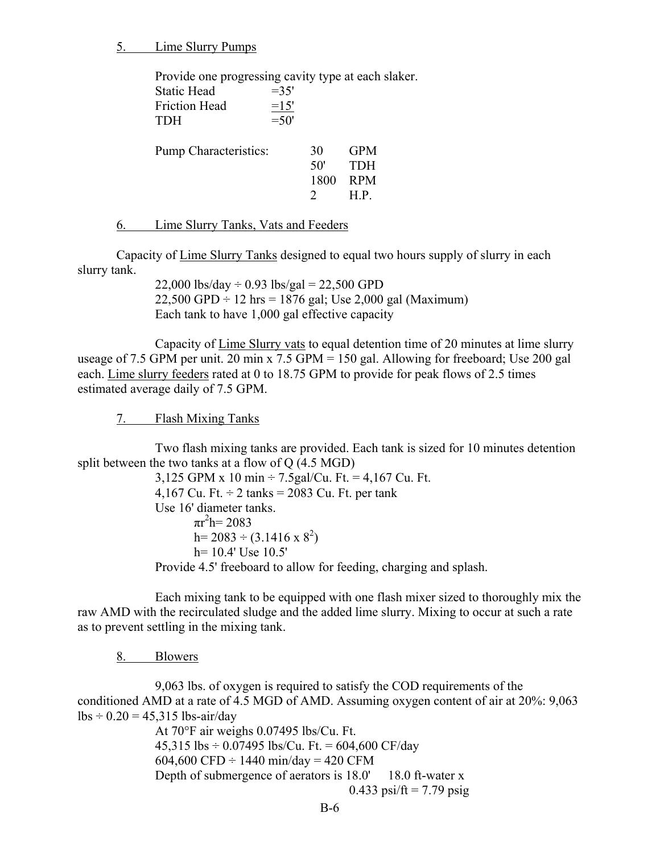5. Lime Slurry Pumps

Provide one progressing cavity type at each slaker.

Static Head  $=35'$ Friction Head  $=15'$  $TDH$  =50' Pump Characteristics: 30 GPM 50' TDH 1800 RPM 2 H.P.

6. Lime Slurry Tanks, Vats and Feeders

Capacity of Lime Slurry Tanks designed to equal two hours supply of slurry in each slurry tank.

> 22,000 lbs/day  $\div$  0.93 lbs/gal = 22,500 GPD  $22,500$  GPD  $\div$  12 hrs = 1876 gal; Use 2,000 gal (Maximum) Each tank to have 1,000 gal effective capacity

Capacity of Lime Slurry vats to equal detention time of 20 minutes at lime slurry useage of 7.5 GPM per unit. 20 min x 7.5 GPM = 150 gal. Allowing for freeboard; Use 200 gal each. Lime slurry feeders rated at 0 to 18.75 GPM to provide for peak flows of 2.5 times estimated average daily of 7.5 GPM.

7. Flash Mixing Tanks

Two flash mixing tanks are provided. Each tank is sized for 10 minutes detention split between the two tanks at a flow of Q (4.5 MGD)

> 3,125 GPM x 10 min  $\div$  7.5gal/Cu. Ft. = 4,167 Cu. Ft. 4,167 Cu. Ft.  $\div$  2 tanks = 2083 Cu. Ft. per tank Use 16' diameter tanks.  $\pi r^2 h = 2083$  $h = 2083 \div (3.1416 \times 8^2)$ h= 10.4' Use 10.5' Provide 4.5' freeboard to allow for feeding, charging and splash.

Each mixing tank to be equipped with one flash mixer sized to thoroughly mix the raw AMD with the recirculated sludge and the added lime slurry. Mixing to occur at such a rate as to prevent settling in the mixing tank.

8. Blowers

9,063 lbs. of oxygen is required to satisfy the COD requirements of the conditioned AMD at a rate of 4.5 MGD of AMD. Assuming oxygen content of air at 20%: 9,063  $\text{lbs} \div 0.20 = 45,315 \text{ lbs-air/day}$ 

At 70°F air weighs 0.07495 lbs/Cu. Ft. 45,315 lbs  $\div$  0.07495 lbs/Cu. Ft. = 604,600 CF/day 604,600 CFD  $\div$  1440 min/day = 420 CFM Depth of submergence of aerators is 18.0' 18.0 ft-water x 0.433 psi/ft = 7.79 psig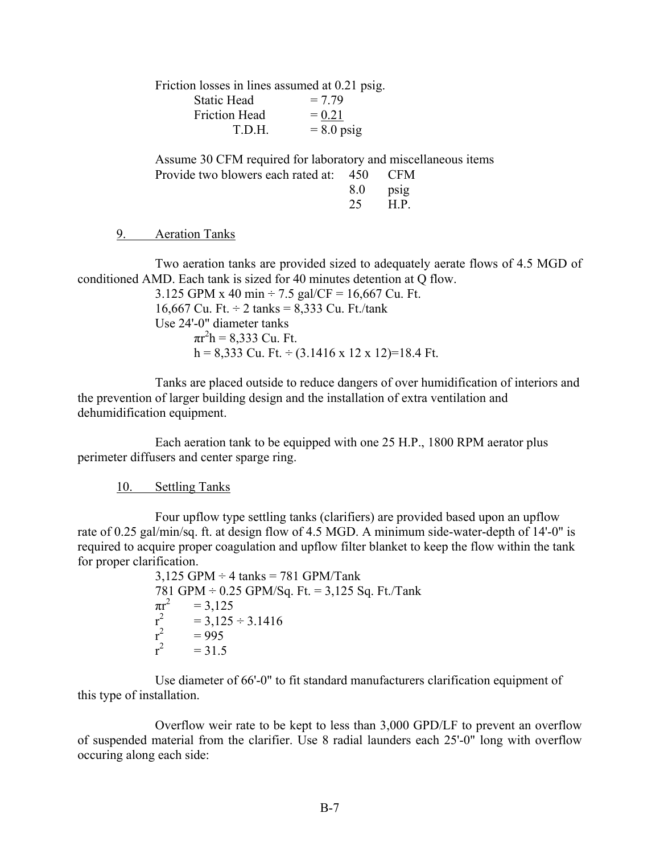Friction losses in lines assumed at 0.21 psig. Static Head  $= 7.79$ Friction Head  $= 0.21$  $T.D.H.$  = 8.0 psig

Assume 30 CFM required for laboratory and miscellaneous items Provide two blowers each rated at:

| 450 | CFM  |
|-----|------|
| 80  | psig |
| 25  | H.P. |

9. Aeration Tanks

Two aeration tanks are provided sized to adequately aerate flows of 4.5 MGD of conditioned AMD. Each tank is sized for 40 minutes detention at Q flow.

3.125 GPM x 40 min  $\div$  7.5 gal/CF = 16,667 Cu. Ft. 16,667 Cu. Ft.  $\div$  2 tanks = 8,333 Cu. Ft./tank Use 24'-0" diameter tanks  $\pi r^2 h = 8,333$  Cu. Ft. h = 8,333 Cu. Ft.  $\div$  (3.1416 x 12 x 12)=18.4 Ft.

Tanks are placed outside to reduce dangers of over humidification of interiors and the prevention of larger building design and the installation of extra ventilation and dehumidification equipment.

Each aeration tank to be equipped with one 25 H.P., 1800 RPM aerator plus perimeter diffusers and center sparge ring.

## 10. Settling Tanks

Four upflow type settling tanks (clarifiers) are provided based upon an upflow rate of 0.25 gal/min/sq. ft. at design flow of 4.5 MGD. A minimum side-water-depth of 14'-0" is required to acquire proper coagulation and upflow filter blanket to keep the flow within the tank for proper clarification.

> $3,125$  GPM  $\div$  4 tanks = 781 GPM/Tank 781 GPM ÷ 0.25 GPM/Sq. Ft. = 3,125 Sq. Ft./Tank  $\pi r^2$  $= 3,125$  $r^2$  $= 3,125 \div 3,1416$  $r^2$  $= 995$  $r^2$  $= 31.5$

Use diameter of 66'-0" to fit standard manufacturers clarification equipment of this type of installation.

Overflow weir rate to be kept to less than 3,000 GPD/LF to prevent an overflow of suspended material from the clarifier. Use 8 radial launders each 25'-0" long with overflow occuring along each side: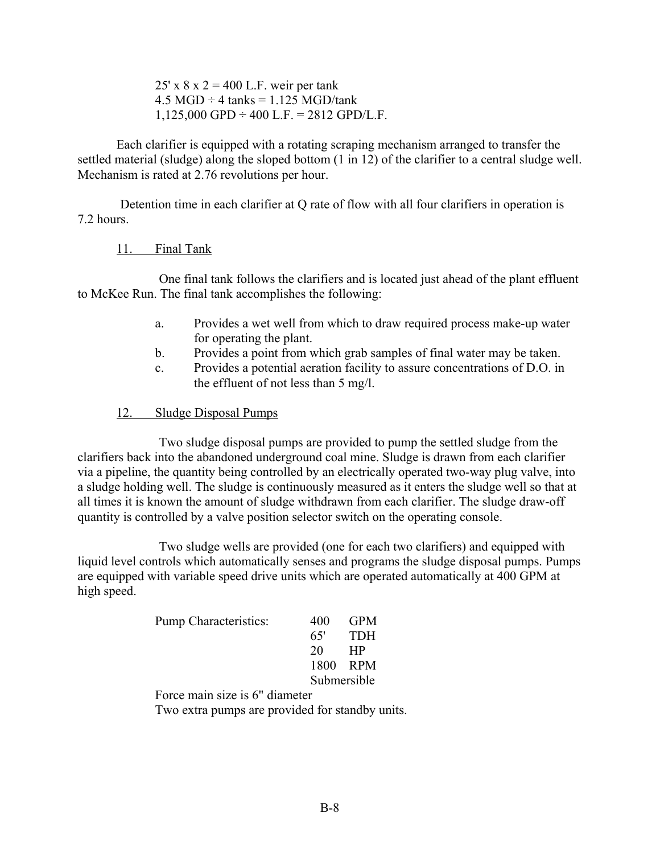$25'$  x  $8$  x  $2 = 400$  L.F. weir per tank  $4.5 \text{ MGD} \div 4 \text{ tanks} = 1.125 \text{ MGD/tank}$  $1,125,000$  GPD  $\div$  400 L.F. = 2812 GPD/L.F.

Each clarifier is equipped with a rotating scraping mechanism arranged to transfer the settled material (sludge) along the sloped bottom (1 in 12) of the clarifier to a central sludge well. Mechanism is rated at 2.76 revolutions per hour.

Detention time in each clarifier at Q rate of flow with all four clarifiers in operation is 7.2 hours.

## 11. Final Tank

One final tank follows the clarifiers and is located just ahead of the plant effluent to McKee Run. The final tank accomplishes the following:

- a. Provides a wet well from which to draw required process make-up water for operating the plant.
- b. Provides a point from which grab samples of final water may be taken.
- c. Provides a potential aeration facility to assure concentrations of D.O. in the effluent of not less than 5 mg/l.
- 12. Sludge Disposal Pumps

Two sludge disposal pumps are provided to pump the settled sludge from the clarifiers back into the abandoned underground coal mine. Sludge is drawn from each clarifier via a pipeline, the quantity being controlled by an electrically operated two-way plug valve, into a sludge holding well. The sludge is continuously measured as it enters the sludge well so that at all times it is known the amount of sludge withdrawn from each clarifier. The sludge draw-off quantity is controlled by a valve position selector switch on the operating console.

Two sludge wells are provided (one for each two clarifiers) and equipped with liquid level controls which automatically senses and programs the sludge disposal pumps. Pumps are equipped with variable speed drive units which are operated automatically at 400 GPM at high speed.

| <b>Pump Characteristics:</b> | 400         | <b>GPM</b> |
|------------------------------|-------------|------------|
|                              | 65'         | <b>TDH</b> |
|                              | 20          | HP         |
|                              |             | 1800 RPM   |
|                              | Submersible |            |

Force main size is 6" diameter

Two extra pumps are provided for standby units.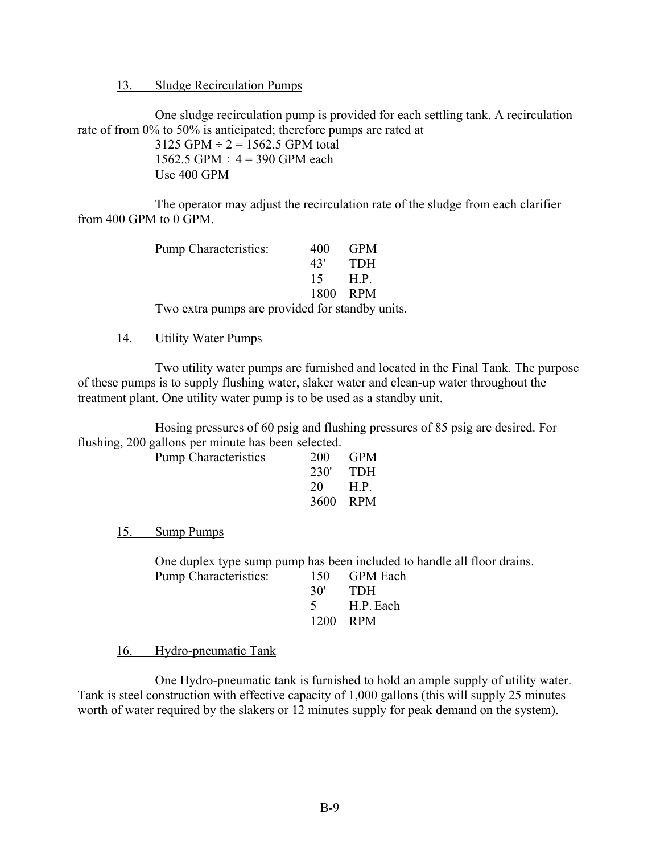13. Sludge Recirculation Pumps

One sludge recirculation pump is provided for each settling tank. A recirculation rate of from 0% to 50% is anticipated; therefore pumps are rated at

> $3125$  GPM  $\div$  2 = 1562.5 GPM total 1562.5 GPM  $\div$  4 = 390 GPM each Use 400 GPM

The operator may adjust the recirculation rate of the sludge from each clarifier from 400 GPM to 0 GPM.

| Pump Characteristics: | 400      | - GPM            |
|-----------------------|----------|------------------|
|                       |          | 43' TDH          |
|                       |          | $15 \text{ H P}$ |
|                       |          | 1800 RPM         |
|                       | $\cdots$ |                  |

Two extra pumps are provided for standby units.

14. Utility Water Pumps

Two utility water pumps are furnished and located in the Final Tank. The purpose of these pumps is to supply flushing water, slaker water and clean-up water throughout the treatment plant. One utility water pump is to be used as a standby unit.

Hosing pressures of 60 psig and flushing pressures of 85 psig are desired. For flushing, 200 gallons per minute has been selected.

| <b>Pump Characteristics</b> |            | $200 \text{ GPM}$ |
|-----------------------------|------------|-------------------|
|                             | $230'$ TDH |                   |
|                             | 20 H.P.    |                   |
|                             | 3600 RPM   |                   |
|                             |            |                   |

15. Sump Pumps

One duplex type sump pump has been included to handle all floor drains. Pump Characteristics: 150 GPM Each 30' TDH 5 H.P. Each

1200 RPM

16. Hydro-pneumatic Tank

One Hydro-pneumatic tank is furnished to hold an ample supply of utility water. Tank is steel construction with effective capacity of 1,000 gallons (this will supply 25 minutes worth of water required by the slakers or 12 minutes supply for peak demand on the system).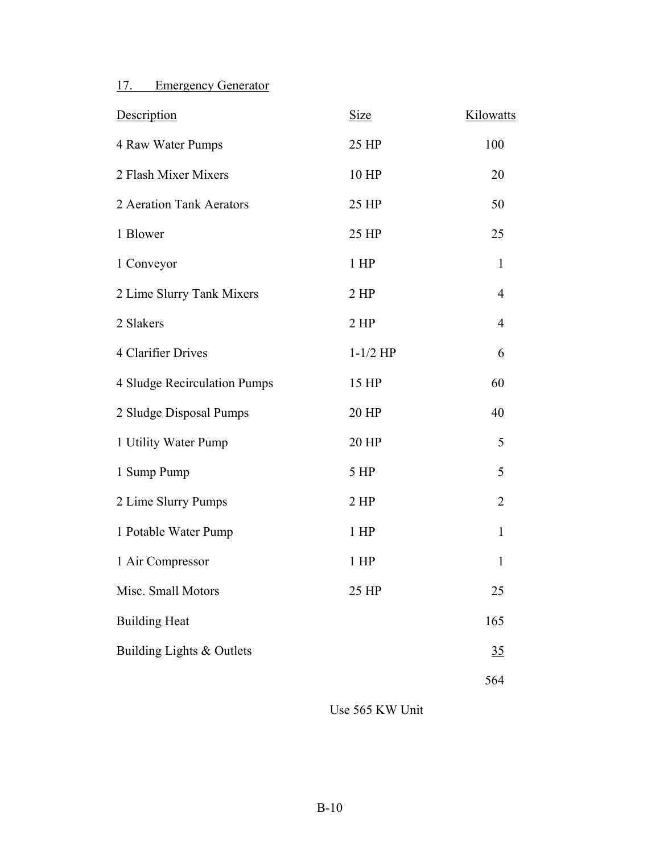17. Emergency Generator

| <b>Size</b> | Kilowatts      |
|-------------|----------------|
| 25 HP       | 100            |
| 10 HP       | 20             |
| 25 HP       | 50             |
| 25 HP       | 25             |
| $1$ HP      | $\mathbf{1}$   |
| $2$ HP      | $\overline{4}$ |
| $2$ HP      | $\overline{4}$ |
| $1-1/2$ HP  | 6              |
| 15 HP       | 60             |
| 20 HP       | 40             |
| 20 HP       | 5              |
| 5 HP        | 5              |
| $2$ HP      | $\overline{2}$ |
| $1$ HP      | $\mathbf{1}$   |
| $1$ HP      | $\mathbf{1}$   |
| 25 HP       | 25             |
|             | 165            |
|             | 35             |
|             | 564            |
|             |                |

Use 565 KW Unit